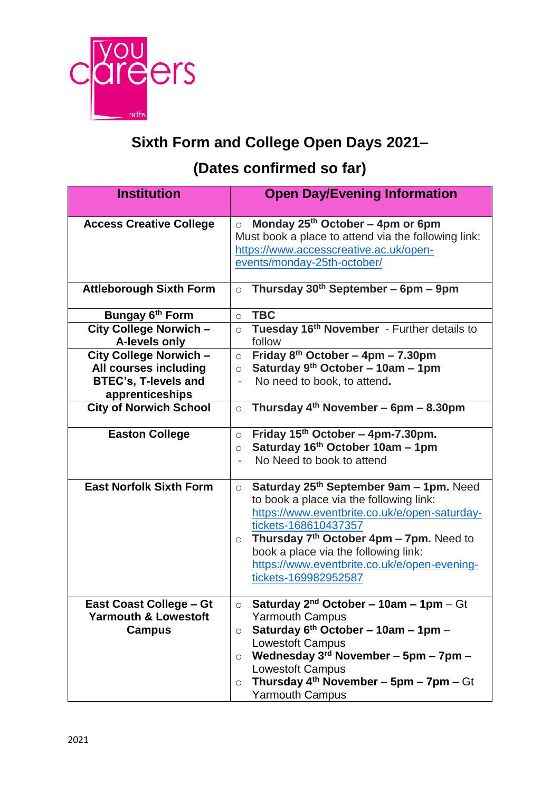

## **Sixth Form and College Open Days 2021–**

## **(Dates confirmed so far)**

| <b>Institution</b>                                                                                | <b>Open Day/Evening Information</b>                                                                                                                                                                                                                                                                                                            |
|---------------------------------------------------------------------------------------------------|------------------------------------------------------------------------------------------------------------------------------------------------------------------------------------------------------------------------------------------------------------------------------------------------------------------------------------------------|
| <b>Access Creative College</b>                                                                    | Monday 25th October - 4pm or 6pm<br>$\circ$<br>Must book a place to attend via the following link:<br>https://www.accesscreative.ac.uk/open-<br>events/monday-25th-october/                                                                                                                                                                    |
| <b>Attleborough Sixth Form</b>                                                                    | Thursday $30th$ September – 6pm – 9pm<br>$\circ$                                                                                                                                                                                                                                                                                               |
| Bungay 6 <sup>th</sup> Form                                                                       | <b>TBC</b><br>$\circ$                                                                                                                                                                                                                                                                                                                          |
| City College Norwich -<br>A-levels only                                                           | Tuesday 16th November - Further details to<br>$\circ$<br>follow                                                                                                                                                                                                                                                                                |
| City College Norwich -<br>All courses including<br><b>BTEC's, T-levels and</b><br>apprenticeships | Friday $8^{th}$ October - 4pm - 7.30pm<br>$\circ$<br>Saturday 9th October - 10am - 1pm<br>$\circ$<br>No need to book, to attend.                                                                                                                                                                                                               |
| <b>City of Norwich School</b>                                                                     | Thursday $4th$ November – 6pm – 8.30pm<br>$\circ$                                                                                                                                                                                                                                                                                              |
| <b>Easton College</b>                                                                             | Friday 15th October - 4pm-7.30pm.<br>$\circ$<br>Saturday 16th October 10am - 1pm<br>$\circ$<br>No Need to book to attend                                                                                                                                                                                                                       |
| <b>East Norfolk Sixth Form</b>                                                                    | Saturday 25th September 9am - 1pm. Need<br>$\circ$<br>to book a place via the following link:<br>https://www.eventbrite.co.uk/e/open-saturday-<br>tickets-168610437357<br>Thursday $7th$ October 4pm – 7pm. Need to<br>$\circ$<br>book a place via the following link:<br>https://www.eventbrite.co.uk/e/open-evening-<br>tickets-169982952587 |
| <b>East Coast College - Gt</b><br><b>Yarmouth &amp; Lowestoft</b><br><b>Campus</b>                | Saturday $2^{nd}$ October – 10am – 1pm -<br>– Gt<br><b>Yarmouth Campus</b><br>Saturday $6th$ October - 10am - 1pm -<br>$\circ$<br>Lowestoft Campus<br>Wednesday 3rd November - 5pm - 7pm -<br>$\circ$<br><b>Lowestoft Campus</b><br>Thursday $4^{th}$ November - 5pm - 7pm - Gt<br>$\circ$<br><b>Yarmouth Campus</b>                           |